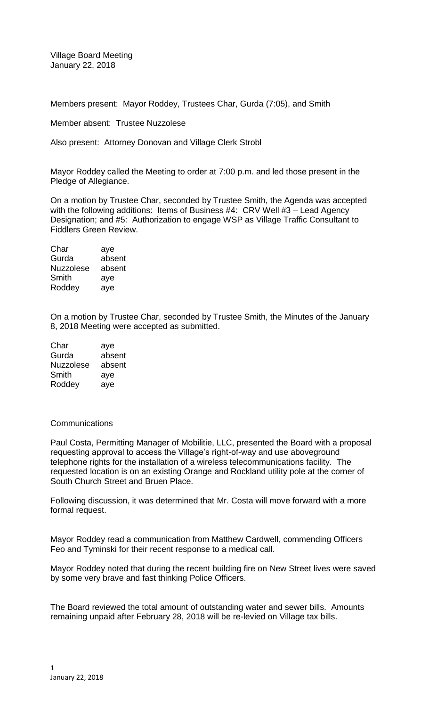Village Board Meeting January 22, 2018

Members present: Mayor Roddey, Trustees Char, Gurda (7:05), and Smith

Member absent: Trustee Nuzzolese

Also present: Attorney Donovan and Village Clerk Strobl

Mayor Roddey called the Meeting to order at 7:00 p.m. and led those present in the Pledge of Allegiance.

On a motion by Trustee Char, seconded by Trustee Smith, the Agenda was accepted with the following additions: Items of Business #4: CRV Well #3 - Lead Agency Designation; and #5: Authorization to engage WSP as Village Traffic Consultant to Fiddlers Green Review.

| aye    |
|--------|
| absent |
| absent |
| aye    |
| aye    |
|        |

On a motion by Trustee Char, seconded by Trustee Smith, the Minutes of the January 8, 2018 Meeting were accepted as submitted.

| Char             | aye    |
|------------------|--------|
| Gurda            | absent |
| <b>Nuzzolese</b> | absent |
| Smith            | aye    |
| Roddey           | ave    |

## **Communications**

Paul Costa, Permitting Manager of Mobilitie, LLC, presented the Board with a proposal requesting approval to access the Village's right-of-way and use aboveground telephone rights for the installation of a wireless telecommunications facility. The requested location is on an existing Orange and Rockland utility pole at the corner of South Church Street and Bruen Place.

Following discussion, it was determined that Mr. Costa will move forward with a more formal request.

Mayor Roddey read a communication from Matthew Cardwell, commending Officers Feo and Tyminski for their recent response to a medical call.

Mayor Roddey noted that during the recent building fire on New Street lives were saved by some very brave and fast thinking Police Officers.

The Board reviewed the total amount of outstanding water and sewer bills. Amounts remaining unpaid after February 28, 2018 will be re-levied on Village tax bills.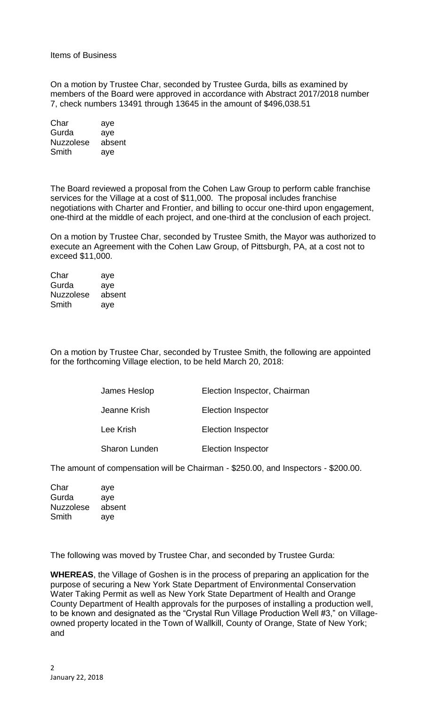Items of Business

On a motion by Trustee Char, seconded by Trustee Gurda, bills as examined by members of the Board were approved in accordance with Abstract 2017/2018 number 7, check numbers 13491 through 13645 in the amount of \$496,038.51

Char aye Gurda aye Nuzzolese absent Smith aye

The Board reviewed a proposal from the Cohen Law Group to perform cable franchise services for the Village at a cost of \$11,000. The proposal includes franchise negotiations with Charter and Frontier, and billing to occur one-third upon engagement, one-third at the middle of each project, and one-third at the conclusion of each project.

On a motion by Trustee Char, seconded by Trustee Smith, the Mayor was authorized to execute an Agreement with the Cohen Law Group, of Pittsburgh, PA, at a cost not to exceed \$11,000.

Char aye Gurda aye Nuzzolese absent Smith aye

On a motion by Trustee Char, seconded by Trustee Smith, the following are appointed for the forthcoming Village election, to be held March 20, 2018:

| James Heslop         | Election Inspector, Chairman |
|----------------------|------------------------------|
| Jeanne Krish         | <b>Election Inspector</b>    |
| Lee Krish            | <b>Election Inspector</b>    |
| <b>Sharon Lunden</b> | <b>Election Inspector</b>    |

The amount of compensation will be Chairman - \$250.00, and Inspectors - \$200.00.

| Char             | aye    |
|------------------|--------|
| Gurda            | aye    |
| <b>Nuzzolese</b> | absent |
| Smith            | aye    |

The following was moved by Trustee Char, and seconded by Trustee Gurda:

**WHEREAS**, the Village of Goshen is in the process of preparing an application for the purpose of securing a New York State Department of Environmental Conservation Water Taking Permit as well as New York State Department of Health and Orange County Department of Health approvals for the purposes of installing a production well, to be known and designated as the "Crystal Run Village Production Well #3," on Villageowned property located in the Town of Wallkill, County of Orange, State of New York; and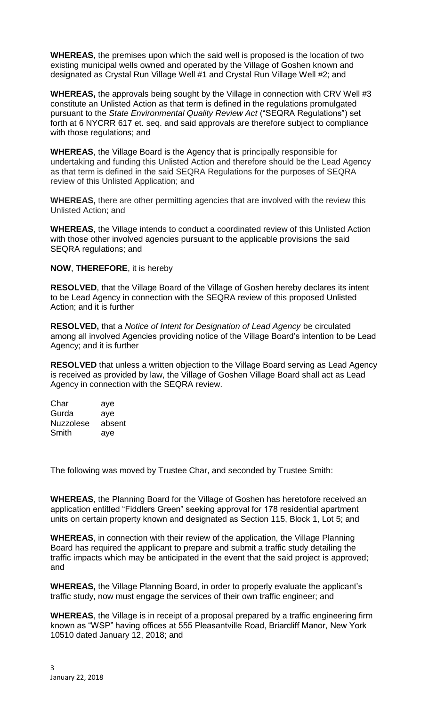**WHEREAS**, the premises upon which the said well is proposed is the location of two existing municipal wells owned and operated by the Village of Goshen known and designated as Crystal Run Village Well #1 and Crystal Run Village Well #2; and

**WHEREAS,** the approvals being sought by the Village in connection with CRV Well #3 constitute an Unlisted Action as that term is defined in the regulations promulgated pursuant to the *State Environmental Quality Review Act* ("SEQRA Regulations") set forth at 6 NYCRR 617 et. seq. and said approvals are therefore subject to compliance with those regulations; and

**WHEREAS**, the Village Board is the Agency that is principally responsible for undertaking and funding this Unlisted Action and therefore should be the Lead Agency as that term is defined in the said SEQRA Regulations for the purposes of SEQRA review of this Unlisted Application; and

**WHEREAS,** there are other permitting agencies that are involved with the review this Unlisted Action; and

**WHEREAS**, the Village intends to conduct a coordinated review of this Unlisted Action with those other involved agencies pursuant to the applicable provisions the said SEQRA regulations; and

**NOW**, **THEREFORE**, it is hereby

**RESOLVED**, that the Village Board of the Village of Goshen hereby declares its intent to be Lead Agency in connection with the SEQRA review of this proposed Unlisted Action; and it is further

**RESOLVED,** that a *Notice of Intent for Designation of Lead Agency* be circulated among all involved Agencies providing notice of the Village Board's intention to be Lead Agency; and it is further

**RESOLVED** that unless a written objection to the Village Board serving as Lead Agency is received as provided by law, the Village of Goshen Village Board shall act as Lead Agency in connection with the SEQRA review.

| Char             | aye    |
|------------------|--------|
| Gurda            | aye    |
| <b>Nuzzolese</b> | absent |
| Smith            | aye    |

The following was moved by Trustee Char, and seconded by Trustee Smith:

**WHEREAS**, the Planning Board for the Village of Goshen has heretofore received an application entitled "Fiddlers Green" seeking approval for 178 residential apartment units on certain property known and designated as Section 115, Block 1, Lot 5; and

**WHEREAS**, in connection with their review of the application, the Village Planning Board has required the applicant to prepare and submit a traffic study detailing the traffic impacts which may be anticipated in the event that the said project is approved; and

**WHEREAS,** the Village Planning Board, in order to properly evaluate the applicant's traffic study, now must engage the services of their own traffic engineer; and

**WHEREAS**, the Village is in receipt of a proposal prepared by a traffic engineering firm known as "WSP" having offices at 555 Pleasantville Road, Briarcliff Manor, New York 10510 dated January 12, 2018; and